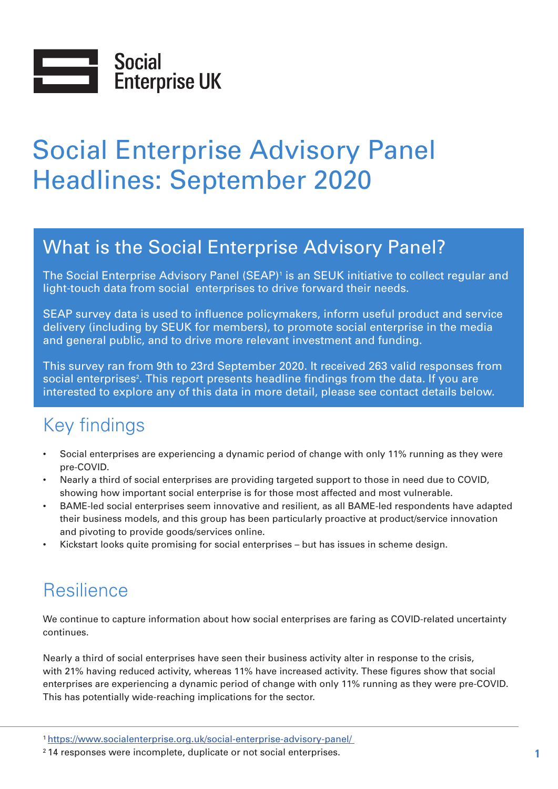

# Social Enterprise Advisory Panel Headlines: September 2020

# What is the Social Enterprise Advisory Panel?

The Social Enterprise Advisory Panel (SEAP)<sup>1</sup> is an SEUK initiative to collect regular and light-touch data from social enterprises to drive forward their needs.

SEAP survey data is used to influence policymakers, inform useful product and service delivery (including by SEUK for members), to promote social enterprise in the media and general public, and to drive more relevant investment and funding.

This survey ran from 9th to 23rd September 2020. It received 263 valid responses from social enterprises<sup>2</sup>. This report presents headline findings from the data. If you are interested to explore any of this data in more detail, please see contact details below.

# Key findings

- Social enterprises are experiencing a dynamic period of change with only 11% running as they were pre-COVID.
- Nearly a third of social enterprises are providing targeted support to those in need due to COVID, showing how important social enterprise is for those most affected and most vulnerable.
- BAME-led social enterprises seem innovative and resilient, as all BAME-led respondents have adapted their business models, and this group has been particularly proactive at product/service innovation and pivoting to provide goods/services online.
- Kickstart looks quite promising for social enterprises but has issues in scheme design.

# Resilience

We continue to capture information about how social enterprises are faring as COVID-related uncertainty continues.

Nearly a third of social enterprises have seen their business activity alter in response to the crisis, with 21% having reduced activity, whereas 11% have increased activity. These figures show that social enterprises are experiencing a dynamic period of change with only 11% running as they were pre-COVID. This has potentially wide-reaching implications for the sector.

<sup>1</sup> [https://www.socialenterprise.org.uk/social-enterprise-advisory-panel/](https://www.socialenterprise.org.uk/social-enterprise-advisory-panel/ ) 

<sup>2 14</sup> responses were incomplete, duplicate or not social enterprises. **1**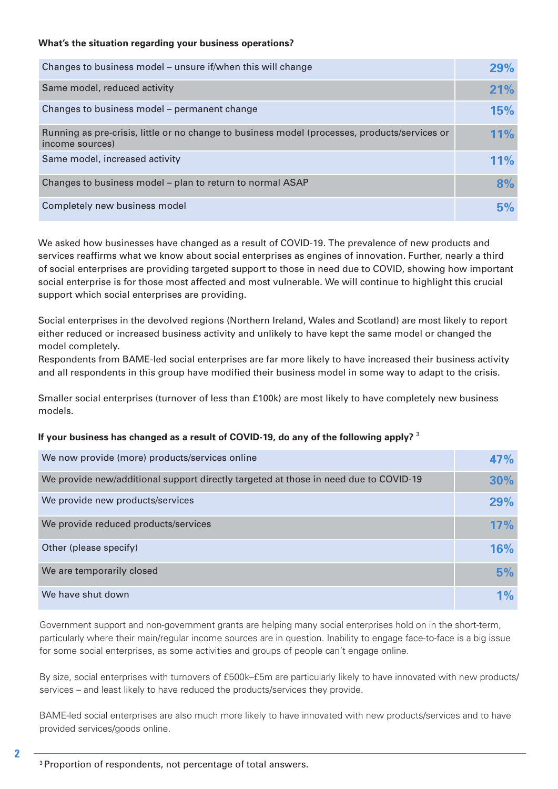#### **What's the situation regarding your business operations?**

| Changes to business model – unsure if/when this will change                                                      | 29%        |
|------------------------------------------------------------------------------------------------------------------|------------|
| Same model, reduced activity                                                                                     | 21%        |
| Changes to business model – permanent change                                                                     | <b>15%</b> |
| Running as pre-crisis, little or no change to business model (processes, products/services or<br>income sources) | 11%        |
| Same model, increased activity                                                                                   | 11%        |
| Changes to business model - plan to return to normal ASAP                                                        | 8%         |
| Completely new business model                                                                                    |            |

We asked how businesses have changed as a result of COVID-19. The prevalence of new products and services reaffirms what we know about social enterprises as engines of innovation. Further, nearly a third of social enterprises are providing targeted support to those in need due to COVID, showing how important social enterprise is for those most affected and most vulnerable. We will continue to highlight this crucial support which social enterprises are providing.

Social enterprises in the devolved regions (Northern Ireland, Wales and Scotland) are most likely to report either reduced or increased business activity and unlikely to have kept the same model or changed the model completely.

Respondents from BAME-led social enterprises are far more likely to have increased their business activity and all respondents in this group have modified their business model in some way to adapt to the crisis.

Smaller social enterprises (turnover of less than £100k) are most likely to have completely new business models.

#### **If your business has changed as a result of COVID-19, do any of the following apply?** <sup>3</sup>

| We now provide (more) products/services online                                       | 47% |
|--------------------------------------------------------------------------------------|-----|
| We provide new/additional support directly targeted at those in need due to COVID-19 | 30% |
| We provide new products/services                                                     | 29% |
| We provide reduced products/services                                                 | 17% |
| Other (please specify)                                                               | 16% |
| We are temporarily closed                                                            | 5%  |
| We have shut down                                                                    | 1%  |

Government support and non-government grants are helping many social enterprises hold on in the short-term, particularly where their main/regular income sources are in question. Inability to engage face-to-face is a big issue for some social enterprises, as some activities and groups of people can't engage online.

By size, social enterprises with turnovers of £500k–£5m are particularly likely to have innovated with new products/ services – and least likely to have reduced the products/services they provide.

BAME-led social enterprises are also much more likely to have innovated with new products/services and to have provided services/goods online.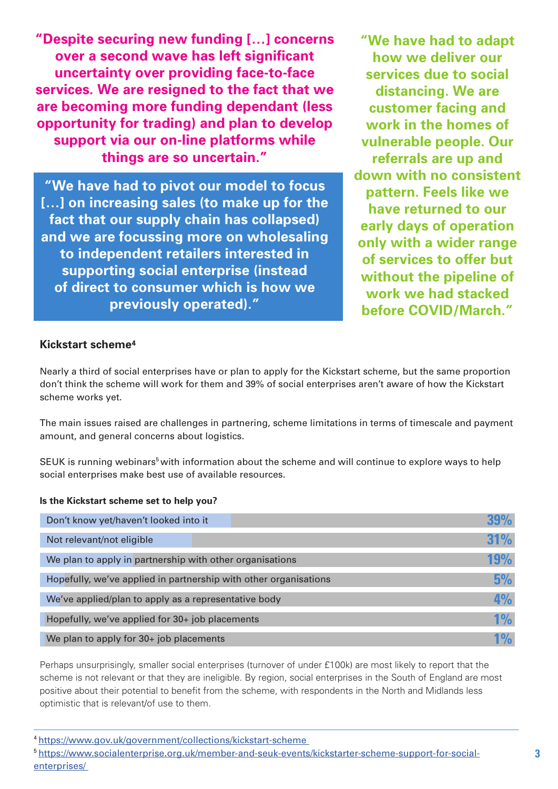**"Despite securing new funding […] concerns over a second wave has left significant uncertainty over providing face-to-face services. We are resigned to the fact that we are becoming more funding dependant (less opportunity for trading) and plan to develop support via our on-line platforms while things are so uncertain."** 

**"We have had to pivot our model to focus […] on increasing sales (to make up for the fact that our supply chain has collapsed) and we are focussing more on wholesaling to independent retailers interested in supporting social enterprise (instead of direct to consumer which is how we previously operated)."**

**"We have had to adapt how we deliver our services due to social distancing. We are customer facing and work in the homes of vulnerable people. Our referrals are up and down with no consistent pattern. Feels like we have returned to our early days of operation only with a wider range of services to offer but without the pipeline of work we had stacked before COVID/March."**

### **Kickstart scheme4**

Nearly a third of social enterprises have or plan to apply for the Kickstart scheme, but the same proportion don't think the scheme will work for them and 39% of social enterprises aren't aware of how the Kickstart scheme works yet.

The main issues raised are challenges in partnering, scheme limitations in terms of timescale and payment amount, and general concerns about logistics.

SEUK is running webinars<sup>5</sup> with information about the scheme and will continue to explore ways to help social enterprises make best use of available resources.

#### **Is the Kickstart scheme set to help you?**

| Don't know yet/haven't looked into it                            |                 |
|------------------------------------------------------------------|-----------------|
| Not relevant/not eligible                                        | <b>31%</b>      |
| We plan to apply in partnership with other organisations         | <b>19%</b>      |
| Hopefully, we've applied in partnership with other organisations | 5%              |
| We've applied/plan to apply as a representative body             | 4%              |
| Hopefully, we've applied for 30+ job placements                  | 1%              |
| We plan to apply for 30+ job placements                          | 10 <sub>o</sub> |

Perhaps unsurprisingly, smaller social enterprises (turnover of under £100k) are most likely to report that the scheme is not relevant or that they are ineligible. By region, social enterprises in the South of England are most positive about their potential to benefit from the scheme, with respondents in the North and Midlands less optimistic that is relevant/of use to them.

4 https://www.gov.uk/government/collections/kickstart-scheme

5 https://www.socialenterprise.org.uk/member-and-seuk-events/kickstarter-scheme-support-for-socialenterprises/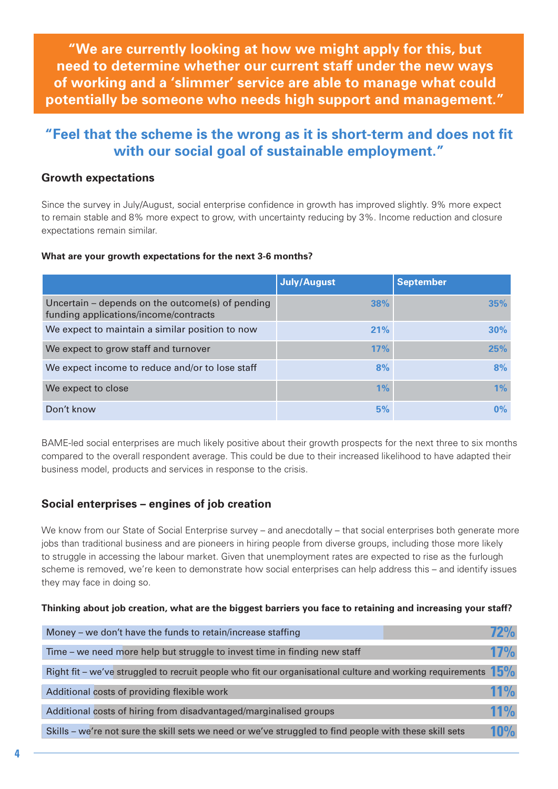**"We are currently looking at how we might apply for this, but need to determine whether our current staff under the new ways of working and a 'slimmer' service are able to manage what could potentially be someone who needs high support and management."**

## **"Feel that the scheme is the wrong as it is short-term and does not fit with our social goal of sustainable employment."**

#### **Growth expectations**

Since the survey in July/August, social enterprise confidence in growth has improved slightly. 9% more expect to remain stable and 8% more expect to grow, with uncertainty reducing by 3%. Income reduction and closure expectations remain similar.

#### **What are your growth expectations for the next 3-6 months?**

|                                                                                           | <b>July/August</b> | <b>September</b> |
|-------------------------------------------------------------------------------------------|--------------------|------------------|
| Uncertain – depends on the outcome(s) of pending<br>funding applications/income/contracts | 38%                | 35%              |
| We expect to maintain a similar position to now                                           | 21%                | 30%              |
| We expect to grow staff and turnover                                                      | 17%                | 25%              |
| We expect income to reduce and/or to lose staff                                           | 8%                 | 8%               |
| We expect to close                                                                        | 1%                 | 1%               |
| Don't know                                                                                | 5%                 | $0\%$            |

BAME-led social enterprises are much likely positive about their growth prospects for the next three to six months compared to the overall respondent average. This could be due to their increased likelihood to have adapted their business model, products and services in response to the crisis.

### **Social enterprises – engines of job creation**

We know from our State of Social Enterprise survey – and anecdotally – that social enterprises both generate more jobs than traditional business and are pioneers in hiring people from diverse groups, including those more likely to struggle in accessing the labour market. Given that unemployment rates are expected to rise as the furlough scheme is removed, we're keen to demonstrate how social enterprises can help address this – and identify issues they may face in doing so.

#### **Thinking about job creation, what are the biggest barriers you face to retaining and increasing your staff?**

| Money – we don't have the funds to retain/increase staffing                                                      |            |
|------------------------------------------------------------------------------------------------------------------|------------|
| Time - we need more help but struggle to invest time in finding new staff                                        | <b>17%</b> |
| Right fit – we've struggled to recruit people who fit our organisational culture and working requirements $15\%$ |            |
| Additional costs of providing flexible work                                                                      | 11%        |
| Additional costs of hiring from disadvantaged/marginalised groups                                                | 11%        |
| Skills – we're not sure the skill sets we need or we've struggled to find people with these skill sets           | <b>10%</b> |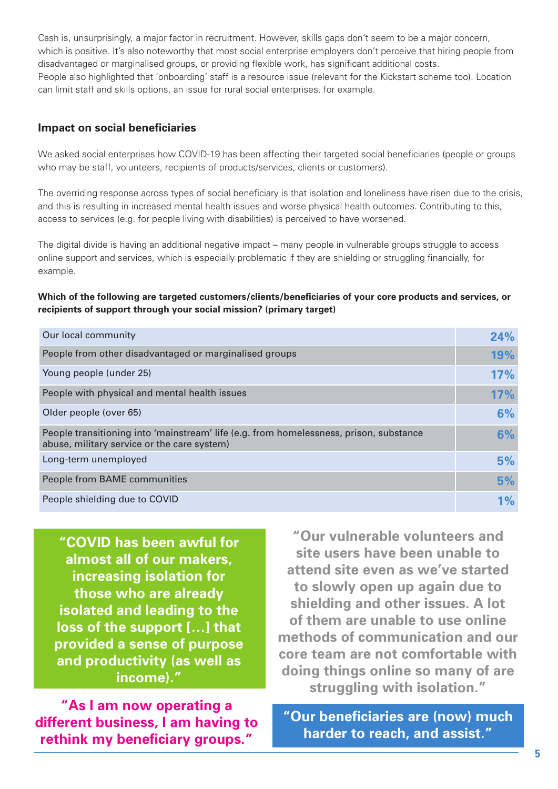Cash is, unsurprisingly, a major factor in recruitment. However, skills gaps don't seem to be a major concern, which is positive. It's also noteworthy that most social enterprise employers don't perceive that hiring people from disadvantaged or marginalised groups, or providing flexible work, has significant additional costs. People also highlighted that 'onboarding' staff is a resource issue (relevant for the Kickstart scheme too). Location can limit staff and skills options, an issue for rural social enterprises, for example.

### **Impact on social beneficiaries**

We asked social enterprises how COVID-19 has been affecting their targeted social beneficiaries (people or groups who may be staff, volunteers, recipients of products/services, clients or customers).

The overriding response across types of social beneficiary is that isolation and loneliness have risen due to the crisis, and this is resulting in increased mental health issues and worse physical health outcomes. Contributing to this, access to services (e.g. for people living with disabilities) is perceived to have worsened.

The digital divide is having an additional negative impact – many people in vulnerable groups struggle to access online support and services, which is especially problematic if they are shielding or struggling financially, for example.

#### **Which of the following are targeted customers/clients/beneficiaries of your core products and services, or recipients of support through your social mission? (primary target)**

| Our local community                                                                                                                   | 24%   |
|---------------------------------------------------------------------------------------------------------------------------------------|-------|
| People from other disadvantaged or marginalised groups                                                                                | 19%   |
| Young people (under 25)                                                                                                               | 17%   |
| People with physical and mental health issues                                                                                         | 17%   |
| Older people (over 65)                                                                                                                | 6%    |
| People transitioning into 'mainstream' life (e.g. from homelessness, prison, substance<br>abuse, military service or the care system) | 6%    |
| Long-term unemployed                                                                                                                  | 5%    |
| People from BAME communities                                                                                                          | 5%    |
| People shielding due to COVID                                                                                                         | $1\%$ |

**"COVID has been awful for almost all of our makers, increasing isolation for those who are already isolated and leading to the loss of the support […] that provided a sense of purpose and productivity (as well as income)."**

**"As I am now operating a different business, I am having to rethink my beneficiary groups."**

**"Our vulnerable volunteers and site users have been unable to attend site even as we've started to slowly open up again due to shielding and other issues. A lot of them are unable to use online methods of communication and our core team are not comfortable with doing things online so many of are struggling with isolation."**

**"Our beneficiaries are (now) much harder to reach, and assist."**